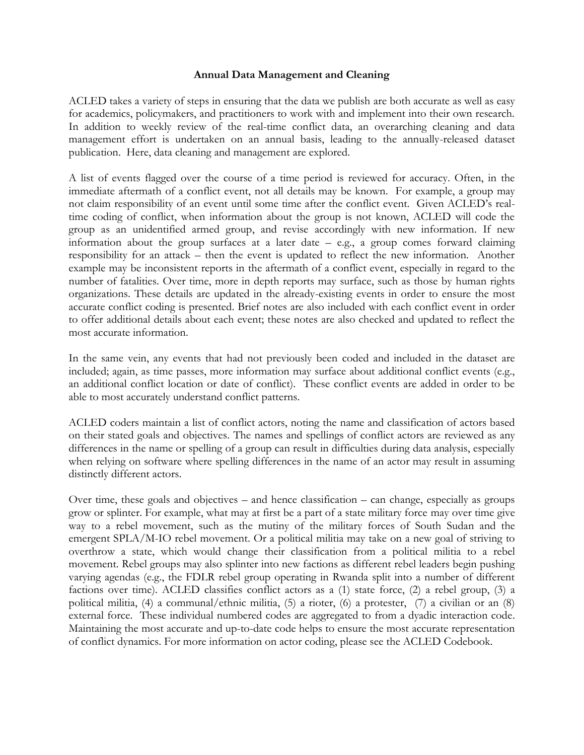## **Annual Data Management and Cleaning**

ACLED takes a variety of steps in ensuring that the data we publish are both accurate as well as easy for academics, policymakers, and practitioners to work with and implement into their own research. In addition to weekly review of the real-time conflict data, an overarching cleaning and data management effort is undertaken on an annual basis, leading to the annually-released dataset publication. Here, data cleaning and management are explored.

A list of events flagged over the course of a time period is reviewed for accuracy. Often, in the immediate aftermath of a conflict event, not all details may be known. For example, a group may not claim responsibility of an event until some time after the conflict event. Given ACLED's realtime coding of conflict, when information about the group is not known, ACLED will code the group as an unidentified armed group, and revise accordingly with new information. If new information about the group surfaces at a later date  $-$  e.g., a group comes forward claiming responsibility for an attack – then the event is updated to reflect the new information. Another example may be inconsistent reports in the aftermath of a conflict event, especially in regard to the number of fatalities. Over time, more in depth reports may surface, such as those by human rights organizations. These details are updated in the already-existing events in order to ensure the most accurate conflict coding is presented. Brief notes are also included with each conflict event in order to offer additional details about each event; these notes are also checked and updated to reflect the most accurate information.

In the same vein, any events that had not previously been coded and included in the dataset are included; again, as time passes, more information may surface about additional conflict events (e.g., an additional conflict location or date of conflict). These conflict events are added in order to be able to most accurately understand conflict patterns.

ACLED coders maintain a list of conflict actors, noting the name and classification of actors based on their stated goals and objectives. The names and spellings of conflict actors are reviewed as any differences in the name or spelling of a group can result in difficulties during data analysis, especially when relying on software where spelling differences in the name of an actor may result in assuming distinctly different actors.

Over time, these goals and objectives – and hence classification – can change, especially as groups grow or splinter. For example, what may at first be a part of a state military force may over time give way to a rebel movement, such as the mutiny of the military forces of South Sudan and the emergent SPLA/M-IO rebel movement. Or a political militia may take on a new goal of striving to overthrow a state, which would change their classification from a political militia to a rebel movement. Rebel groups may also splinter into new factions as different rebel leaders begin pushing varying agendas (e.g., the FDLR rebel group operating in Rwanda split into a number of different factions over time). ACLED classifies conflict actors as a (1) state force, (2) a rebel group, (3) a political militia, (4) a communal/ethnic militia, (5) a rioter, (6) a protester, (7) a civilian or an (8) external force. These individual numbered codes are aggregated to from a dyadic interaction code. Maintaining the most accurate and up-to-date code helps to ensure the most accurate representation of conflict dynamics. For more information on actor coding, please see the ACLED Codebook.